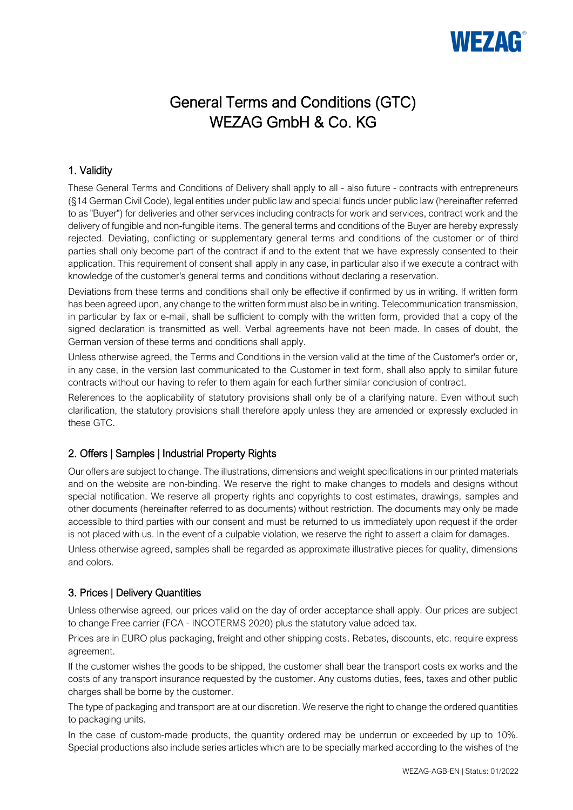# WEZAG

# General Terms and Conditions (GTC) WEZAG GmbH & Co. KG

# 1. Validity

These General Terms and Conditions of Delivery shall apply to all - also future - contracts with entrepreneurs (§14 German Civil Code), legal entities under public law and special funds under public law (hereinafter referred to as "Buyer") for deliveries and other services including contracts for work and services, contract work and the delivery of fungible and non-fungible items. The general terms and conditions of the Buyer are hereby expressly rejected. Deviating, conflicting or supplementary general terms and conditions of the customer or of third parties shall only become part of the contract if and to the extent that we have expressly consented to their application. This requirement of consent shall apply in any case, in particular also if we execute a contract with knowledge of the customer's general terms and conditions without declaring a reservation.

Deviations from these terms and conditions shall only be effective if confirmed by us in writing. If written form has been agreed upon, any change to the written form must also be in writing. Telecommunication transmission, in particular by fax or e-mail, shall be sufficient to comply with the written form, provided that a copy of the signed declaration is transmitted as well. Verbal agreements have not been made. In cases of doubt, the German version of these terms and conditions shall apply.

Unless otherwise agreed, the Terms and Conditions in the version valid at the time of the Customer's order or, in any case, in the version last communicated to the Customer in text form, shall also apply to similar future contracts without our having to refer to them again for each further similar conclusion of contract.

References to the applicability of statutory provisions shall only be of a clarifying nature. Even without such clarification, the statutory provisions shall therefore apply unless they are amended or expressly excluded in these GTC.

# 2. Offers | Samples | Industrial Property Rights

Our offers are subject to change. The illustrations, dimensions and weight specifications in our printed materials and on the website are non-binding. We reserve the right to make changes to models and designs without special notification. We reserve all property rights and copyrights to cost estimates, drawings, samples and other documents (hereinafter referred to as documents) without restriction. The documents may only be made accessible to third parties with our consent and must be returned to us immediately upon request if the order is not placed with us. In the event of a culpable violation, we reserve the right to assert a claim for damages.

Unless otherwise agreed, samples shall be regarded as approximate illustrative pieces for quality, dimensions and colors.

# 3. Prices | Delivery Quantities

Unless otherwise agreed, our prices valid on the day of order acceptance shall apply. Our prices are subject to change Free carrier (FCA - INCOTERMS 2020) plus the statutory value added tax.

Prices are in EURO plus packaging, freight and other shipping costs. Rebates, discounts, etc. require express agreement.

If the customer wishes the goods to be shipped, the customer shall bear the transport costs ex works and the costs of any transport insurance requested by the customer. Any customs duties, fees, taxes and other public charges shall be borne by the customer.

The type of packaging and transport are at our discretion. We reserve the right to change the ordered quantities to packaging units.

In the case of custom-made products, the quantity ordered may be underrun or exceeded by up to 10%. Special productions also include series articles which are to be specially marked according to the wishes of the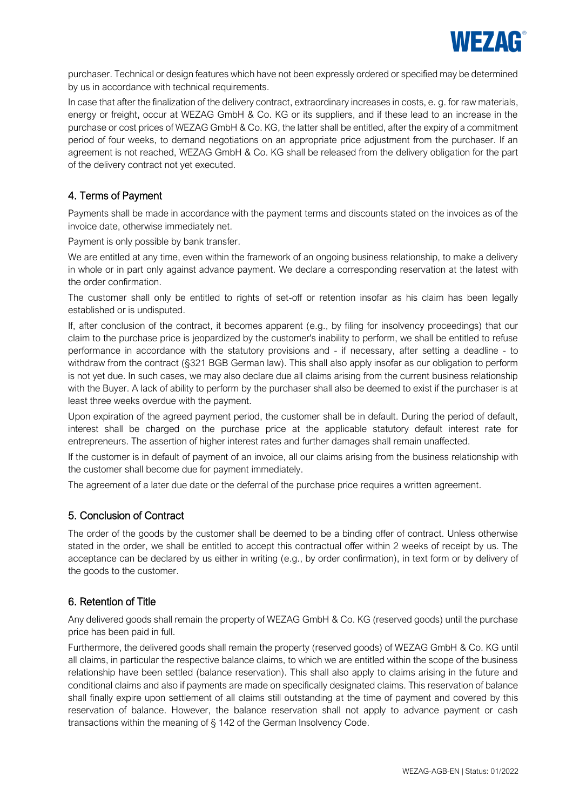

purchaser. Technical or design features which have not been expressly ordered or specified may be determined by us in accordance with technical requirements.

In case that after the finalization of the delivery contract, extraordinary increases in costs, e. g. for raw materials, energy or freight, occur at WEZAG GmbH & Co. KG or its suppliers, and if these lead to an increase in the purchase or cost prices of WEZAG GmbH & Co. KG, the latter shall be entitled, after the expiry of a commitment period of four weeks, to demand negotiations on an appropriate price adjustment from the purchaser. If an agreement is not reached, WEZAG GmbH & Co. KG shall be released from the delivery obligation for the part of the delivery contract not yet executed.

#### 4. Terms of Payment

Payments shall be made in accordance with the payment terms and discounts stated on the invoices as of the invoice date, otherwise immediately net.

Payment is only possible by bank transfer.

We are entitled at any time, even within the framework of an ongoing business relationship, to make a delivery in whole or in part only against advance payment. We declare a corresponding reservation at the latest with the order confirmation.

The customer shall only be entitled to rights of set-off or retention insofar as his claim has been legally established or is undisputed.

If, after conclusion of the contract, it becomes apparent (e.g., by filing for insolvency proceedings) that our claim to the purchase price is jeopardized by the customer's inability to perform, we shall be entitled to refuse performance in accordance with the statutory provisions and - if necessary, after setting a deadline - to withdraw from the contract (§321 BGB German law). This shall also apply insofar as our obligation to perform is not yet due. In such cases, we may also declare due all claims arising from the current business relationship with the Buyer. A lack of ability to perform by the purchaser shall also be deemed to exist if the purchaser is at least three weeks overdue with the payment.

Upon expiration of the agreed payment period, the customer shall be in default. During the period of default, interest shall be charged on the purchase price at the applicable statutory default interest rate for entrepreneurs. The assertion of higher interest rates and further damages shall remain unaffected.

If the customer is in default of payment of an invoice, all our claims arising from the business relationship with the customer shall become due for payment immediately.

The agreement of a later due date or the deferral of the purchase price requires a written agreement.

#### 5. Conclusion of Contract

The order of the goods by the customer shall be deemed to be a binding offer of contract. Unless otherwise stated in the order, we shall be entitled to accept this contractual offer within 2 weeks of receipt by us. The acceptance can be declared by us either in writing (e.g., by order confirmation), in text form or by delivery of the goods to the customer.

#### 6. Retention of Title

Any delivered goods shall remain the property of WEZAG GmbH & Co. KG (reserved goods) until the purchase price has been paid in full.

Furthermore, the delivered goods shall remain the property (reserved goods) of WEZAG GmbH & Co. KG until all claims, in particular the respective balance claims, to which we are entitled within the scope of the business relationship have been settled (balance reservation). This shall also apply to claims arising in the future and conditional claims and also if payments are made on specifically designated claims. This reservation of balance shall finally expire upon settlement of all claims still outstanding at the time of payment and covered by this reservation of balance. However, the balance reservation shall not apply to advance payment or cash transactions within the meaning of § 142 of the German Insolvency Code.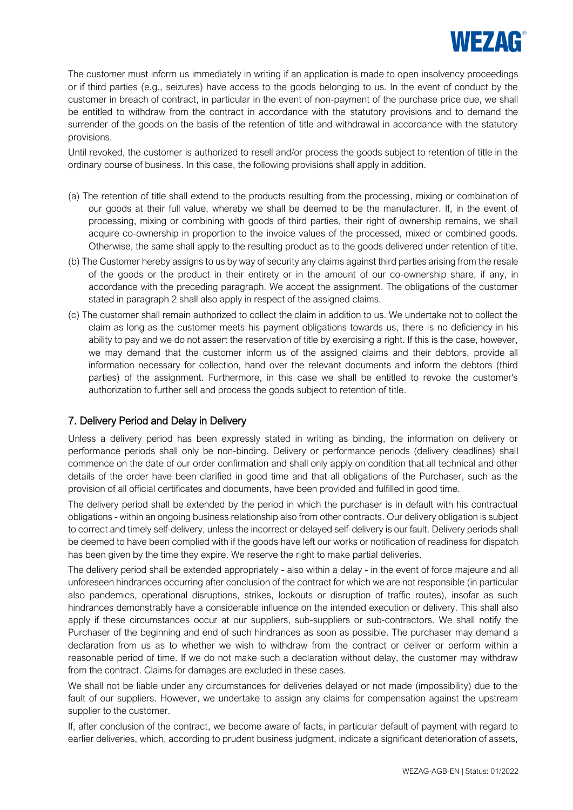

The customer must inform us immediately in writing if an application is made to open insolvency proceedings or if third parties (e.g., seizures) have access to the goods belonging to us. In the event of conduct by the customer in breach of contract, in particular in the event of non-payment of the purchase price due, we shall be entitled to withdraw from the contract in accordance with the statutory provisions and to demand the surrender of the goods on the basis of the retention of title and withdrawal in accordance with the statutory provisions.

Until revoked, the customer is authorized to resell and/or process the goods subject to retention of title in the ordinary course of business. In this case, the following provisions shall apply in addition.

- (a) The retention of title shall extend to the products resulting from the processing, mixing or combination of our goods at their full value, whereby we shall be deemed to be the manufacturer. If, in the event of processing, mixing or combining with goods of third parties, their right of ownership remains, we shall acquire co-ownership in proportion to the invoice values of the processed, mixed or combined goods. Otherwise, the same shall apply to the resulting product as to the goods delivered under retention of title.
- (b) The Customer hereby assigns to us by way of security any claims against third parties arising from the resale of the goods or the product in their entirety or in the amount of our co-ownership share, if any, in accordance with the preceding paragraph. We accept the assignment. The obligations of the customer stated in paragraph 2 shall also apply in respect of the assigned claims.
- (c) The customer shall remain authorized to collect the claim in addition to us. We undertake not to collect the claim as long as the customer meets his payment obligations towards us, there is no deficiency in his ability to pay and we do not assert the reservation of title by exercising a right. If this is the case, however, we may demand that the customer inform us of the assigned claims and their debtors, provide all information necessary for collection, hand over the relevant documents and inform the debtors (third parties) of the assignment. Furthermore, in this case we shall be entitled to revoke the customer's authorization to further sell and process the goods subject to retention of title.

# 7. Delivery Period and Delay in Delivery

Unless a delivery period has been expressly stated in writing as binding, the information on delivery or performance periods shall only be non-binding. Delivery or performance periods (delivery deadlines) shall commence on the date of our order confirmation and shall only apply on condition that all technical and other details of the order have been clarified in good time and that all obligations of the Purchaser, such as the provision of all official certificates and documents, have been provided and fulfilled in good time.

The delivery period shall be extended by the period in which the purchaser is in default with his contractual obligations - within an ongoing business relationship also from other contracts. Our delivery obligation is subject to correct and timely self-delivery, unless the incorrect or delayed self-delivery is our fault. Delivery periods shall be deemed to have been complied with if the goods have left our works or notification of readiness for dispatch has been given by the time they expire. We reserve the right to make partial deliveries.

The delivery period shall be extended appropriately - also within a delay - in the event of force majeure and all unforeseen hindrances occurring after conclusion of the contract for which we are not responsible (in particular also pandemics, operational disruptions, strikes, lockouts or disruption of traffic routes), insofar as such hindrances demonstrably have a considerable influence on the intended execution or delivery. This shall also apply if these circumstances occur at our suppliers, sub-suppliers or sub-contractors. We shall notify the Purchaser of the beginning and end of such hindrances as soon as possible. The purchaser may demand a declaration from us as to whether we wish to withdraw from the contract or deliver or perform within a reasonable period of time. If we do not make such a declaration without delay, the customer may withdraw from the contract. Claims for damages are excluded in these cases.

We shall not be liable under any circumstances for deliveries delayed or not made (impossibility) due to the fault of our suppliers. However, we undertake to assign any claims for compensation against the upstream supplier to the customer.

If, after conclusion of the contract, we become aware of facts, in particular default of payment with regard to earlier deliveries, which, according to prudent business judgment, indicate a significant deterioration of assets,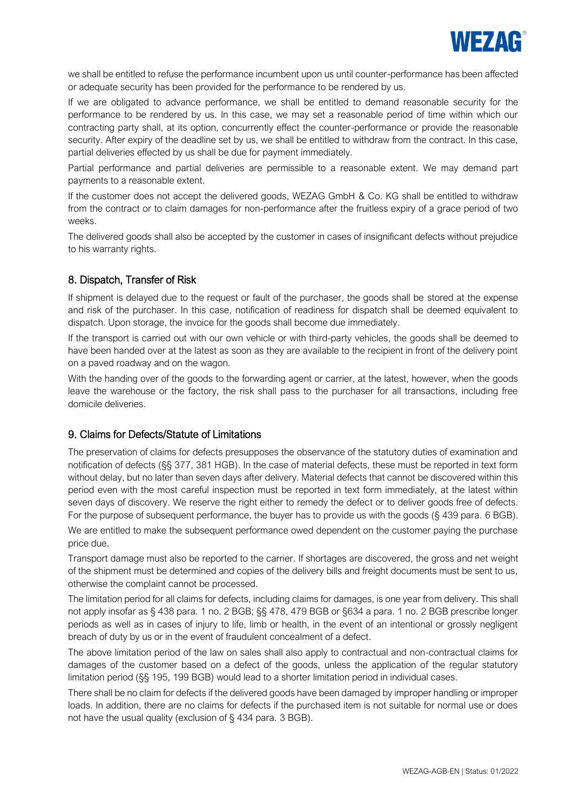

we shall be entitled to refuse the performance incumbent upon us until counter-performance has been affected or adequate security has been provided for the performance to be rendered by us.

If we are obligated to advance performance, we shall be entitled to demand reasonable security for the performance to be rendered by us. In this case, we may set a reasonable period of time within which our contracting party shall, at its option, concurrently effect the counter-performance or provide the reasonable security. After expiry of the deadline set by us, we shall be entitled to withdraw from the contract. In this case, partial deliveries effected by us shall be due for payment immediately.

Partial performance and partial deliveries are permissible to a reasonable extent. We may demand part payments to a reasonable extent.

If the customer does not accept the delivered goods, WEZAG GmbH & Co. KG shall be entitled to withdraw from the contract or to claim damages for non-performance after the fruitless expiry of a grace period of two weeks.

The delivered goods shall also be accepted by the customer in cases of insignificant defects without prejudice to his warranty rights.

#### 8. Dispatch, Transfer of Risk

If shipment is delayed due to the request or fault of the purchaser, the goods shall be stored at the expense and risk of the purchaser. In this case, notification of readiness for dispatch shall be deemed equivalent to dispatch. Upon storage, the invoice for the goods shall become due immediately.

If the transport is carried out with our own vehicle or with third-party vehicles, the goods shall be deemed to have been handed over at the latest as soon as they are available to the recipient in front of the delivery point on a paved roadway and on the wagon.

With the handing over of the goods to the forwarding agent or carrier, at the latest, however, when the goods leave the warehouse or the factory, the risk shall pass to the purchaser for all transactions, including free domicile deliveries.

#### 9. Claims for Defects/Statute of Limitations

The preservation of claims for defects presupposes the observance of the statutory duties of examination and notification of defects (§§ 377, 381 HGB). In the case of material defects, these must be reported in text form without delay, but no later than seven days after delivery. Material defects that cannot be discovered within this period even with the most careful inspection must be reported in text form immediately, at the latest within seven days of discovery. We reserve the right either to remedy the defect or to deliver goods free of defects. For the purpose of subsequent performance, the buyer has to provide us with the goods (§ 439 para. 6 BGB).

We are entitled to make the subsequent performance owed dependent on the customer paying the purchase price due.

Transport damage must also be reported to the carrier. If shortages are discovered, the gross and net weight of the shipment must be determined and copies of the delivery bills and freight documents must be sent to us, otherwise the complaint cannot be processed.

The limitation period for all claims for defects, including claims for damages, is one year from delivery. This shall not apply insofar as § 438 para. 1 no. 2 BGB; §§ 478, 479 BGB or §634 a para. 1 no. 2 BGB prescribe longer periods as well as in cases of injury to life, limb or health, in the event of an intentional or grossly negligent breach of duty by us or in the event of fraudulent concealment of a defect.

The above limitation period of the law on sales shall also apply to contractual and non-contractual claims for damages of the customer based on a defect of the goods, unless the application of the regular statutory limitation period (§§ 195, 199 BGB) would lead to a shorter limitation period in individual cases.

There shall be no claim for defects if the delivered goods have been damaged by improper handling or improper loads. In addition, there are no claims for defects if the purchased item is not suitable for normal use or does not have the usual quality (exclusion of § 434 para. 3 BGB).